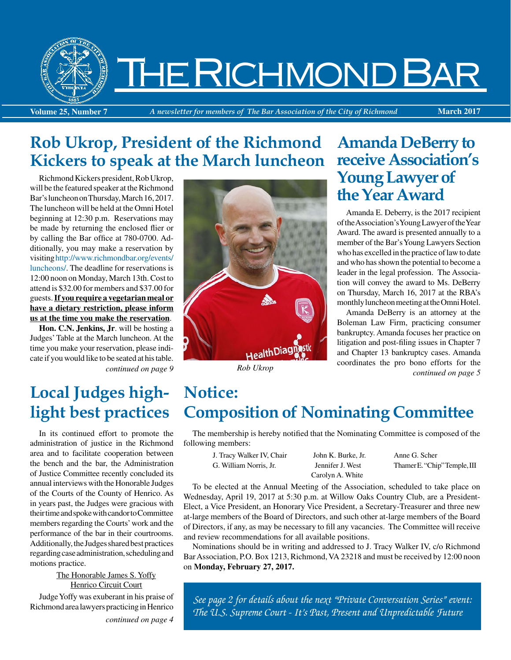

# The Richmond Bar

**Volume 25, Number 7** *A newsletter for members of The Bar Association of the City of Richmond* **March 2017**

# **Rob Ukrop, President of the Richmond Kickers to speak at the March luncheon**

Richmond Kickers president, Rob Ukrop, will be the featured speaker at the Richmond Bar's luncheon on Thursday, March 16, 2017. The luncheon will be held at the Omni Hotel beginning at 12:30 p.m. Reservations may be made by returning the enclosed flier or by calling the Bar office at 780-0700. Additionally, you may make a reservation by visiting [http://www.richmondbar.org/events/](https://www.richmondbar.org/events/luncheons/) [luncheons/](https://www.richmondbar.org/events/luncheons/). The deadline for reservations is 12:00 noon on Monday, March 13th. Cost to attend is \$32.00 for members and \$37.00 for guests. **If you require a vegetarian meal or have a dietary restriction, please inform us at the time you make the reservation**.

*continued on page 9* **Hon. C.N. Jenkins, Jr**. will be hosting a Judges' Table at the March luncheon. At the time you make your reservation, please indicate if you would like to be seated at his table.

# **Local Judges highlight best practices**

In its continued effort to promote the administration of justice in the Richmond area and to facilitate cooperation between the bench and the bar, the Administration of Justice Committee recently concluded its annual interviews with the Honorable Judges of the Courts of the County of Henrico. As in years past, the Judges were gracious with their time and spoke with candor to Committee members regarding the Courts' work and the performance of the bar in their courtrooms. Additionally, the Judges shared best practices regarding case administration, scheduling and motions practice.

#### The Honorable James S. Yoffy Henrico Circuit Court

Judge Yoffy was exuberant in his praise of Richmond area lawyers practicing in Henrico

*continued on page 4*



*Rob Ukrop*

# **Amanda DeBerry to receive Association's Young Lawyer of the Year Award**

Amanda E. Deberry, is the 2017 recipient of the Association's Young Lawyer of the Year Award. The award is presented annually to a member of the Bar's Young Lawyers Section who has excelled in the practice of law to date and who has shown the potential to become a leader in the legal profession. The Association will convey the award to Ms. DeBerry on Thursday, March 16, 2017 at the RBA's monthly luncheon meeting at the Omni Hotel.

Amanda DeBerry is an attorney at the Boleman Law Firm, practicing consumer bankruptcy. Amanda focuses her practice on litigation and post-filing issues in Chapter 7 and Chapter 13 bankruptcy cases. Amanda coordinates the pro bono efforts for the *continued on page 5*

# **Notice: Composition of Nominating Committee**

The membership is hereby notified that the Nominating Committee is composed of the following members:

J. Tracy Walker IV, Chair John K. Burke, Jr. Anne G. Scher

Carolyn A. White

G. William Norris, Jr. Jennifer J. West Thamer E. "Chip" Temple, III

To be elected at the Annual Meeting of the Association, scheduled to take place on Wednesday, April 19, 2017 at 5:30 p.m. at Willow Oaks Country Club, are a President-Elect, a Vice President, an Honorary Vice President, a Secretary-Treasurer and three new at-large members of the Board of Directors, and such other at-large members of the Board of Directors, if any, as may be necessary to fill any vacancies. The Committee will receive and review recommendations for all available positions.

Nominations should be in writing and addressed to J. Tracy Walker IV, c/o Richmond Bar Association, P.O. Box 1213, Richmond, VA 23218 and must be received by 12:00 noon on **Monday, February 27, 2017.**

*See page 2 for details about the next "Private Conversation Series" event: The U.S. Supreme Court - It's Past, Present and Unpredictable Future*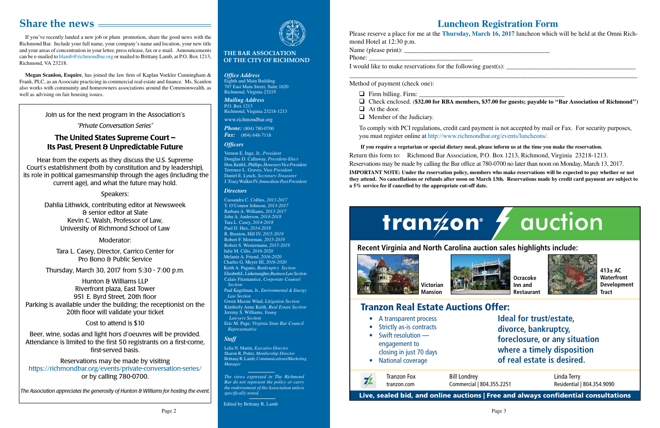If you've recently landed a new job or plum promotion, share the good news with the Richmond Bar. Include your full name, your company's name and location, your new title and your areas of concentration in your letter, press release, fax or e-mail. Announcements can be e-mailed to blamb[@richmondbar.org](mailto:blamb%40richmondbar.org?subject=) or mailed to Brittany Lamb, at P.O. Box 1213, Richmond, VA 23218.

# **Share the news**

**Megan Scanlon, Esquire**, has joined the law firm of Kaplan Voekler Cunningham & Frank, PLC, as an Associate practicing in commercial real estate and finance. Ms. Scanlon also works with community and homeowners associations around the Commonwealth, as well as advising on fair housing issues.

# **Luncheon Registration Form**

Please reserve a place for me at the **Thursday, March 16, 2017** luncheon which will be held at the Omni Richmond Hotel at 12:30 p.m.

Name (please print): \_\_\_\_\_\_\_\_\_\_\_\_\_\_\_\_\_\_\_\_\_\_\_\_\_\_\_\_\_\_\_\_\_\_\_\_\_\_\_\_\_\_\_\_\_

Phone:

I would like to make reservations for the following guest $(s)$ :

\_\_\_\_\_\_\_\_\_\_\_\_\_\_\_\_\_\_\_\_\_\_\_\_\_\_\_\_\_\_\_\_\_\_\_\_\_\_\_\_\_\_\_\_\_\_\_\_\_\_\_\_\_\_\_\_\_\_\_\_\_\_\_\_\_\_\_\_\_\_\_\_\_\_\_\_\_\_\_\_\_\_\_\_\_\_\_\_\_

□ Check enclosed. (\$32.00 for RBA members, \$37.00 for guests; payable to "Bar Association of Richmond")

# tranzon<sup>®</sup> / auction



Method of payment (check one):

- $\Box$  Firm billing. Firm:  $\Box$
- 
- $\Box$  At the door.
- $\Box$  Member of the Judiciary.

To comply with PCI regulations, credit card payment is not accepted by mail or Fax. For security purposes, you must register online at [http://www.richmondbar.org/events/luncheons/.](http://www.richmondbar.org/events/luncheons/)

 **If you require a vegetarian or special dietary meal, please inform us at the time you make the reservation.**

Return this form to: Richmond Bar Association, P.O. Box 1213, Richmond, Virginia 23218-1213. Reservations may be made by calling the Bar office at 780-0700 no later than noon on Monday, March 13, 2017.

**IMPORTANT NOTE: Under the reservation policy, members who make reservations will be expected to pay whether or not they attend. No cancellations or refunds after noon on March 13th. Reservations made by credit card payment are subject to a 5% service fee if cancelled by the appropriate cut-off date.** 

#### **THE BAR ASSOCIATION OF THE CITY OF RICHMOND**

*The views expressed in The Richmond Bar do not represent the policy or carry the endorsement of the Association unless specifically noted.*

Edited by Brittany R. Lamb

*Office Address* Eighth and Main Building 707 East Main Street, Suite 1620 Richmond, Virginia 23219

*Mailing Address* P.O. Box 1213 Richmond, Virginia 23218-1213

www.richmondbar.org

*Phone:* (804) 780-0700 *Fax:* (804) 648-7118

#### *Officers*

Vernon E. Inge, Jr., *President* Douglas D. Callaway, *President-Elect* Hon. Keith L. Phillips, *Honorary Vice President* Terrence L. Graves, Vice *President* Daniel E. Lynch, *Secretary-Treasurer* J. Tracy Walker IV, *Immediate Past President*

#### *Directors*

Cassandra C. Collins, *2013-2017* T. O'Connor Johnson, *2013-2017* Barbara A. Williams, *2013-2017* John A. Anderson, *2014-2018* Tara L. Casey, *2014-2018* Paul D. Hux, *2014-2018* R. Braxton, Hill IV, *2015-2019* Robert F. Moorman, *2015-2019* Robert S. Westermann, *2015-2019* Julie M. Cillo, *2016-2020* Melanie A. Friend, *2016-2020* Charles G. Meyer III, *2016-2020* Keith A. Pagano, *Bankruptcy Section* Elizabeth L. Linkenaugher, *Business Law Section* Calais Fitzmaurice, *Corporate Counsel Section*

Paul Kugelman, Jr., *Environmental & Energy Law Section*

Gwen Massie Wind, *Litigation Section* Kimberly Anne Keith, *Real Estate Section* Jeremy S. Williams, *Young* 

 *Lawyers Section*

Eric M. Page, *Virginia State Bar Council Representative* 

## *Staff*

Lelia N. Martin, *Executive Director* Sharon R. Potter, *Membership Director* Brittany R. Lamb, *Communications/Marketing Manager*

# Tranzon Real Estate Auctions Offer:



**Ideal for trust/estate, divorce, bankruptcy, foreclosure, or any situation where a timely disposition of real estate is desired.**

- A transparent process
- Strictly as-is contracts
- Swift resolution engagement to closing in just 70 days
- National coverage

Bill Londrey Commercial | 804.355.2251

Live, sealed bid, and online auctions | Free and always confidential consultations

Linda Terry Residential | 804.354.9090

**Recent Virginia and North Carolina auction sales highlights include:**





**Ocracoke Inn and Restaurant**



**413± AC Waterfront Development Tract**

### Join us for the next program in the Association's

### *"Private Conversation Series"*

# The United States Supreme Court – Its Past, Present & Unpredictable Future

Hear from the experts as they discuss the U.S. Supreme Court's establishment (both by constitution and by leadership), its role in political gamesmanship through the ages (including the current age), and what the future may hold.

#### Speakers:

Dahlia Lithwick, contributing editor at Newsweek & senior editor at Slate Kevin C. Walsh, Professor of Law, University of Richmond School of Law

### Moderator:

Tara L. Casey, Director, Carrico Center for Pro Bono & Public Service

Thursday, March 30, 2017 from 5:30 - 7:00 p.m.

Hunton & Williams LLP Riverfront plaza, East Tower 951 E. Byrd Street, 20th floor Parking is available under the building; the receptionist on the 20th floor will validate your ticket

## Cost to attend is \$10

Beer, wine, sodas and light hors d'oeuvres will be provided. Attendance is limited to the first 50 registrants on a first-come, first-served basis.

Reservations may be made by visiting <https://richmondbar.org/events/private-conversation-series/> or by calling 780-0700.

*The Association appreciates the generosity of Hunton & Williams for hosting the event.*

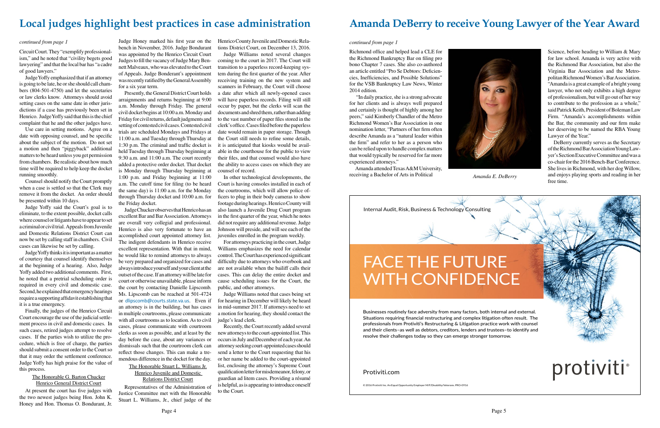

# **Local judges highlight best practices in case administration**

Circuit Court. They "exemplify professionalism," and he noted that "civility begets good lawyering" and that the local bar has "a cadre of good lawyers."

Judge Yoffy emphasized that if an attorney is going to be late, he or she should call chambers (804-501-4750) and let the secretaries or law clerks know. Attorneys should avoid setting cases on the same date in other jurisdictions if a case has previously been set in Henrico. Judge Yoffy said that this is the chief complaint that he and the other judges have.

Use care in setting motions. Agree on a date with opposing counsel, and be specific about the subject of the motion. Do not set a motion and then "piggyback" additional matters to be heard unless you get permission from chambers. Be realistic about how much time will be required to help keep the docket running smoothly.

Counsel should notify the Court promptly when a case is settled so that the Clerk may remove it from the docket. An order should be presented within 10 days.

Judge Yoffy said the Court's goal is to eliminate, to the extent possible, docket calls where counsel or litigants have to appear to set a criminal or civil trial. Appeals from Juvenile and Domestic Relations District Court can now be set by calling staff in chambers. Civil cases can likewise be set by calling.

Judge Yoffy thinks it is important as a matter of courtesy that counsel identify themselves at the beginning of a hearing. Also, Judge Yoffy added two additional comments. First, he noted that a pretrial scheduling order is required in every civil and domestic case. Second, he explained that emergency hearings require a supporting affidavit establishing that it is a true emergency.

Finally, the judges of the Henrico Circuit Court encourage the use of the judicial settlement process in civil and domestic cases. In such cases, retired judges attempt to resolve cases. If the parties wish to utilize the procedure, which is free of charge, the parties should submit a consent order to the Court so that it may order the settlement conference. Judge Yoffy has high praise for the value of this process.

> The Honorable G. Barton Chucker Henrico General District Court

At present the court has five judges with the two newest judges being Hon. John K. Honey and Hon. Thomas O. Bondurant, Jr.

Judge Honey marked his first year on the bench in November, 2016. Judge Bondurant was appointed by the Henrico Circuit Court Judges to fill the vacancy of Judge Mary Bennett Malveaux, who was elevated to the Court of Appeals. Judge Bonderant's appointment was recently ratified by the General Assembly for a six year term.

Presently, the General District Court holds arraignments and returns beginning at 9:00 a.m. Monday through Friday. The general civil docket begins at 10:00 a.m. Monday and Friday for civil returns, default judgments and setting of contested civil cases. Contested civil trials are scheduled Mondays and Fridays at 11:00 a.m. and Tuesday through Thursday at 1:30 p.m. The criminal and traffic docket is held Tuesday through Thursday beginning at 9:30 a.m. and 11:00 a.m. The court recently added a protective order docket. That docket is Monday through Thursday beginning at 1:00 p.m. and Friday beginning at 11:00 a.m. The cutoff time for filing (to be heard the same day) is 11:00 a.m. for the Monday through Thursday docket and 10:00 a.m. for the Friday docket.

Judge Chucker observes that Henrico has an excellent Bar and Bar Association. Attorneys are overall very collegial and professional. Henrico is also very fortunate to have an accomplished court appointed attorney list. The indigent defendants in Henrico receive excellent representation. With that in mind, he would like to remind attorneys to always be very prepared and organized for cases and always introduce yourself and your client at the outset of the case. If an attorney will be late for court or otherwise unavailable, please inform the court by contacting Danielle Lipscomb. Ms. Lipscomb can be reached at 501-4724 or [dlipscomb@courts.state.va.us](mailto:dlipscomb@courts.state.va.us). Even if an attorney is in the building, but has cases in multiple courtrooms, please communicate with all courtrooms as to location. As to civil cases, please communicate with courtroom clerks as soon as possible, and at least by the day before the case, about any variances or dismissals such that the courtroom clerk can reflect those changes. This can make a tremendous difference in the docket for the day.

DeBerry currently serves as the Secretary of the Richmond Bar Association Young Lawyer's Section Executive Committee and was a co-chair for the 2016 Bench-Bar Conference. She lives in Richmond, with her dog Willow, and enjoys playing sports and reading in her *Amanda E. DeBerry* and enjoy free time.

The Honorable Stuart L. Williams Jr. Henrico Juvenile and Domestic Relations District Court

Representatives of the Administration of Justice Committee met with the Honorable Stuart L. Williams, Jr., chief judge of the

Henrico County Juvenile and Domestic Relations District Court, on December 13, 2016.

Judge Williams noted several changes coming to the court in 2017. The Court will transition to a paperless record-keeping system during the first quarter of the year. After receiving training on the new system and scanners in February, the Court will choose a date after which all newly-opened cases will have paperless records. Filing will still occur by paper, but the clerks will scan the documents and shred them, rather than adding to the vast number of paper files stored in the clerk's office. Cases filed before the paperless date would remain in paper storage. Though the Court still needs to refine some details, it is anticipated that kiosks would be available in the courthouse for the public to view their files, and that counsel would also have the ability to access cases on which they are counsel of record.

In other technological developments, the Court is having consoles installed in each of the courtrooms, which will allow police officers to plug in their body cameras to show footage during hearings. Henrico County will also launch a Juvenile Drug Court program in the first quarter of the year, which he notes did not require any additional revenue. Judge Johnson will preside, and will see each of the juveniles enrolled in the program weekly.

For attorneys practicing in the court, Judge Williams emphasizes the need for calendar control. The Court has experienced significant difficulty due to attorneys who overbook and are not available when the bailiff calls their cases. This can delay the entire docket and cause scheduling issues for the Court, the public, and other attorneys.

Judge Williams noted that cases being set for hearing in December will likely be heard in mid-summer 2017. If attorneys need to set a motion for hearing, they should contact the judge's lead clerk.

Recently, the Court recently added several new attorneys to the court-appointed list. This occurs in July and December of each year. An attorney seeking court-appointed cases should send a letter to the Court requesting that his or her name be added to the court-appointed list, enclosing the attorney's Supreme Court qualification letter for misdemeanor, felony, or guardian ad litem cases. Providing a résumé is helpful, as is appearing to introduce oneself to the Court.

Richmond office and helped lead a CLE for the Richmond Bankruptcy Bar on filing pro bono Chapter 7 cases. She also co-authored an article entitled "Pro Se Debtors: Deficiencies, Inefficiencies, and Possible Solutions" for the VSB Bankruptcy Law News, Winter 2014 edition.

 "In daily practice, she is a strong advocate for her clients and is always well prepared and certainly is thought of highly among her peers," said Kimberly Chandler of the Metro Richmond Women's Bar Association in one nomination letter, "Partners of her firm often describe Amanda as a "natural leader within the firm" and refer to her as a person who can be relied upon to handle complex matters that would typically be reserved for far more experienced attorneys."

Amanda attended Texas A&M University, receiving a Bachelor of Arts in Political

# **Amanda DeBerry to receive Young Lawyer of the Year Award**

#### *continued from page 1*

Science, before heading to William & Mary for law school. Amanda is very active with the Richmond Bar Association, but also the Virginia Bar Association and the Metropolitan Richmond Women's Bar Association. "Amanda is a great example of a bright young lawyer, who not only exhibits a high degree of professionalism, but will go out of her way to contribute to the profession as a whole," said Patrick Keith, President of Boleman Law Firm. "Amanda's accomplishments within the Bar, the community and our firm make her deserving to be named the RBA Young Lawyer of the Year."



#### *continued from page 1*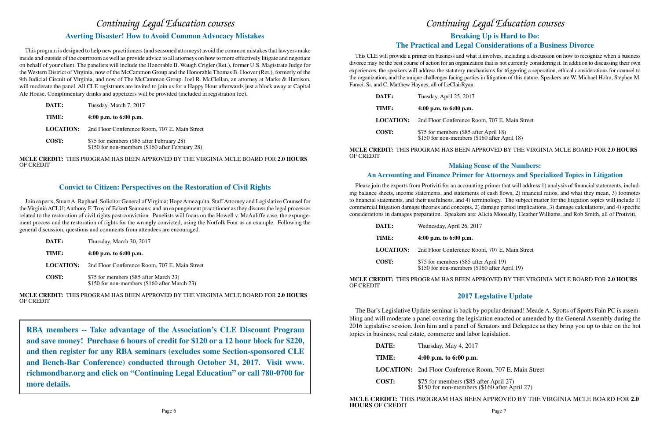# **Making Sense of the Numbers: An Accounting and Finance Primer for Attorneys and Specialized Topics in Litigation**

n, 707 E. Main Street

**April 19)**  $50$  after April 19)

Please join the experts from Protiviti for an accounting primer that will address 1) analysis of financial statements, including balance sheets, income statements, and statements of cash flows, 2) financial ratios, and what they mean, 3) footnotes to financial statements, and their usefulness, and 4) terminology. The subject matter for the litigation topics will include 1) commercial litigation damage theories and concepts, 2) damage period implications, 3) damage calculations, and 4) specific considerations in damages preparation. Speakers are: Alicia Moosally, Heather Williams, and Rob Smith, all of Protiviti.

| DATE:            | Wednesday, April 26, 2017                                    |
|------------------|--------------------------------------------------------------|
| TIME:            | 4:00 p.m. to $6:00$ p.m.                                     |
| <b>LOCATION:</b> | 2nd Floor Conference Room                                    |
| <b>COST:</b>     | \$75 for members (\$85 after<br>\$150 for non-members (\$16) |

# *Continuing Legal Education courses* **Averting Disaster! How to Avoid Common Advocacy Mistakes**

### **MCLE CREDIT:** THIS PROGRAM HAS BEEN APPROVED BY THE VIRGINIA MCLE BOARD FOR **2.0 HOURS**

OF CREDIT

# **2017 Legslative Update**

om, 707 E. Main Street

ter April 27)<br><sup>\$160</sup> after April 27)

The Bar's Legislative Update seminar is back by popular demand! Meade A. Spotts of Spotts Fain PC is assembling and will moderate a panel covering the legislation enacted or amended by the General Assembly during the 2016 legislative session. Join him and a panel of Senators and Delegates as they bring you up to date on the hot topics in business, real estate, commerce and labor legislation.

| DATE:        | Thursday, May 4, 2017                                       |
|--------------|-------------------------------------------------------------|
| TIME:        | 4:00 p.m. to $6:00$ p.m.                                    |
|              | <b>LOCATION:</b> 2nd Floor Conference Roo                   |
| <b>COST:</b> | \$75 for members $(\$85$ after \$150 for non-members $(\$)$ |

# **MCLE CREDIT:** THIS PROGRAM HAS BEEN APPROVED BY THE VIRGINIA MCLE BOARD FOR **2.0**

m, 707 E. Main Street

r April 18)<br>60 after April 18)

This program is designed to help new practitioners (and seasoned attorneys) avoid the common mistakes that lawyers make inside and outside of the courtroom as well as provide advice to all attorneys on how to more effectively litigate and negotiate on behalf of your client. The panelists will include the Honorable B. Waugh Crigler (Ret.), former U.S. Magistrate Judge for the Western District of Virginia, now of the McCammon Group and the Honorable Thomas B. Hoover (Ret.), formerly of the 9th Judicial Circuit of Virginia, and now of The McCammon Group. Joel R. McClellan, an attorney at Marks & Harrison, will moderate the panel. All CLE registrants are invited to join us for a Happy Hour afterwards just a block away at Capital Ale House. Complimentary drinks and appetizers will be provided (included in registration fee).

| DATE:            | Tuesday, March 7, 2017                                                                       |
|------------------|----------------------------------------------------------------------------------------------|
| TIME:            | 4:00 p.m. to $6:00$ p.m.                                                                     |
| <b>LOCATION:</b> | 2nd Floor Conference Room, 707 E. Main Street                                                |
| <b>COST:</b>     | \$75 for members (\$85 after February 28)<br>\$150 for non-members (\$160 after February 28) |

**MCLE CREDIT:** THIS PROGRAM HAS BEEN APPROVED BY THE VIRGINIA MCLE BOARD FOR **2.0 HOURS** OF CREDIT

This CLE will provide a primer on business and what it involves, including a discussion on how to recognize when a business divorce may be the best course of action for an organization that is not currently considering it. In addition to discussing their own experiences, the speakers will address the statutory mechanisms for triggering a seperation, ethical considerations for counsel to the organization, and the unique challenges facing parties in litigation of this nature. Speakers are W. Michael Holm, Stephen M. Faraci, Sr. and C. Matthew Haynes, all of LeClairRyan.

# **Breaking Up is Hard to Do: The Practical and Legal Considerations of a Business Divorce**  *Continuing Legal Education courses*

| DATE:            | Tuesday, April 25, 2017                                     |
|------------------|-------------------------------------------------------------|
| TIME:            | 4:00 p.m. to $6:00$ p.m.                                    |
| <b>LOCATION:</b> | 2nd Floor Conference Roor                                   |
| COST:            | \$75 for members (\$85 after<br>\$150 for non-members (\$16 |

### **MCLE CREDIT:** THIS PROGRAM HAS BEEN APPROVED BY THE VIRGINIA MCLE BOARD FOR **2.0 HOURS**

OF CREDIT

# **Convict to Citizen: Perspectives on the Restoration of Civil Rights**

Join experts, Stuart A. Raphael, Solicitor General of Virginia; Hope Amezquita, Staff Attorney and Legislative Counsel for the Virginia ACLU; Anthony F. Troy of Eckert Seamans; and an expungement practitioner as they discuss the legal processes related to the restoration of civil rights post-conviction. Panelists will focus on the Howell v. McAuliffe case, the expungement process and the restoration of rights for the wrongly convicted, using the Norfolk Four as an example. Following the general discussion, questions and comments from attendees are encouraged.

| DATE:            | Thursday, March 30, 2017                                                               |
|------------------|----------------------------------------------------------------------------------------|
| TIME:            | 4:00 p.m. to $6:00$ p.m.                                                               |
| <b>LOCATION:</b> | 2nd Floor Conference Room, 707 E. Main Street                                          |
| <b>COST:</b>     | \$75 for members (\$85 after March 23)<br>\$150 for non-members (\$160 after March 23) |

**MCLE CREDIT:** THIS PROGRAM HAS BEEN APPROVED BY THE VIRGINIA MCLE BOARD FOR **2.0 HOURS** OF CREDIT

**RBA members -- Take advantage of the Association's CLE Discount Program and save money! Purchase 6 hours of credit for \$120 or a 12 hour block for \$220, and then register for any RBA seminars (excludes some Section-sponsored CLE and Bench-Bar Conference) conducted through October 31, 2017. Visit www. richmondbar.org and click on "Continuing Legal Education" or call 780-0700 for more details.**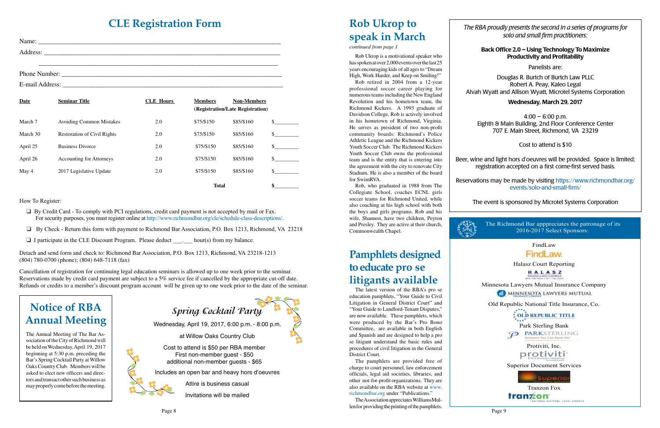# **CLE Registration Form**

| Name:<br><u> 2001 - Jan James Alexandri, president politik (h. 1882).</u> |
|---------------------------------------------------------------------------|
| Address:<br><u> 1989 - John Stone, Amerikaansk politiker († 1989)</u>     |
|                                                                           |
| Phone Number:                                                             |

| Date     | <b>Seminar Title</b>               | <b>CLE</b> Hours | <b>Members</b> | <b>Non-Members</b><br>(Registration/Late Registration) |               |
|----------|------------------------------------|------------------|----------------|--------------------------------------------------------|---------------|
| March 7  | <b>Avoiding Common Mistakes</b>    | 2.0              | \$75/\$150     | \$85/\$160                                             | <sup>\$</sup> |
| March 30 | <b>Restoration of Civil Rights</b> | 2.0              | \$75/\$150     | \$85/\$160                                             | \$            |
| April 25 | <b>Business Divorce</b>            | 2.0              | \$75/\$150     | \$85/\$160                                             | $\mathcal{S}$ |
| April 26 | <b>Accounting for Attorneys</b>    | 2.0              | \$75/\$150     | \$85/\$160                                             | $\mathcal{S}$ |
| May 4    | 2017 Legislative Update            | 2.0              | \$75/\$150     | \$85/\$160                                             | $\mathcal{S}$ |
|          |                                    |                  | <b>Total</b>   |                                                        | \$            |

How To Register:

E-mail Address:

- $\Box$  By Credit Card To comply with PCI regulations, credit card payment is not accepted by mail or Fax. For security purposes, you must register online at [http://www.richmondbar.org/cle/schedule-class-descriptions/](https://www.richmondbar.org/cle/schedule-class-descriptions/).
- □ By Check Return this form with payment to Richmond Bar Association, P.O. Box 1213, Richmond, VA 23218
- $\Box$  I participate in the CLE Discount Program. Please deduct hour(s) from my balance.

Rob Ukrop is a motivational speaker who has spoken at over 2,000 events over the last 25 years encouraging kids of all ages to "Dream High, Work Harder, and Keep on Smiling!"

Detach and send form and check to: Richmond Bar Association, P.O. Box 1213, Richmond, VA 23218-1213 (804) 780-0700 (phone); (804) 648-7118 (fax)

Cancellation of registration for continuing legal education seminars is allowed up to one week prior to the seminar. Reservations made by credit card payment are subject to a 5% service fee if cancelled by the appropriate cut-off date. Refunds or credits to a member's discount program account will be given up to one week prior to the date of the seminar.

 $4:00 - 6:00$  p.m. Eighth & Main Building, 2nd Floor Conference Center 707 E. Main Street, Richmond, VA 23219

#### *continued from page 1*

Protiviti, Inc. protiviti

Rob retired in 2004 from a 12-year professional soccer career playing for numerous teams including the New England Revolution and his hometown team, the Richmond Kickers. A 1993 graduate of Davidson College, Rob is actively involved in his hometown of Richmond, Virginia. He serves as president of two non-profit community boards: Richmond's Police Athletic League and the Richmond Kickers Youth Soccer Club. The Richmond Kickers Youth Soccer Club owns the professional team and is the entity that is entering into the agreement with the city to renovate City Stadium. He is also a member of the board for SwimRVA.

Page 8 Page 9 The Association appreciates WilliamsMullen for providing the printing of the pamphlets.

Rob, who graduated in 1988 from The Collegiate School, coaches ECNL girls soccer teams for Richmond United, while also coaching at his high school with both the boys and girls programs. Rob and his wife, Shannon, have two children, Peyton and Presley. They are active at their church, Commonwealth Chapel.



# **Rob Ukrop to speak in March**

*The RBA proudly presents the second in a series of programs for solo and small firm practitioners:*

#### Back Office 2.0 – Using Technology To Maximize Productivity and Profitability

Panelists are:

Douglas R. Burtch of Burtch Law PLLC Robert A. Peay, Kaleo Legal Alvah Wyatt and Allison Wyatt, Microtel Systems Corporation

### Wednesday, March 29, 2017

Cost to attend is \$10

Beer, wine and light hors d'oeuvres will be provided. Space is limited; registration accepted on a first come-first served basis.

Reservations may be made by visiting [https://www.richmondbar.org/](https://www.richmondbar.org/events/solo-and-small-firm/) [events/solo-and-small-firm/](https://www.richmondbar.org/events/solo-and-small-firm/)

The event is sponsored by Microtel Systems Corporation

FindLaw

FindLaw.

Halasz Court Reporting

HALASZ MPORTING & GENO SOMERINGS

Minnesota Lawyers Mutual Insurance Company

MINNESOTA LAWYERS MUTUAL

Old Republic National Title Insurance, Co.

: OLD REPUBLIC TITLE

Park Sterling Bank<br>
PARKSTERLING

Superior Document Services



The Richmond Bar apppreciates the patronage of its 2016-2017 Select Sponsors:

**Spring Cocktail Party**

Wednesday, April 19, 2017, 6:00 p.m. - 8:00 p.m.

at Willow Oaks Country Club

Cost to attend is \$50 per RBA member First non-member guest - \$50 additional non-member guests - \$65

Includes an open bar and heavy hors d'oeuvres



Invitations will be mailed

# **Notice of RBA Annual Meeting**

The Annual Meeting of The Bar Association of the City of Richmond will be held on Wednesday, April 19, 2017 beginning at 5:30 p.m. preceding the Bar's Spring Cocktail Party at Willow Oaks Country Club. Members will be asked to elect new officers and directors and transact other such business as may properly come before the meeting.

The latest version of the RBA's pro se education pamphlets, "Your Guide to Civil Litigation in General District Court" and "Your Guide to Landlord-Tenant Disputes," are now available. These pamphlets, which were produced by the Bar's Pro Bono Committee, are available in both English and Spanish and are designed to help a pro se litigant understand the basic rules and procedures of civil litigation in the General District Court.

The pamphlets are provided free of charge to court personnel, law enforcement officials, legal aid societies, libraries, and other not-for-profit organizations. They are also available on the RBA website at [www.](http://www.richmondbar.org/) [richmondbar.org](http://www.richmondbar.org/) under "Publications."

# **Pamphlets designed to educate pro se litigants available**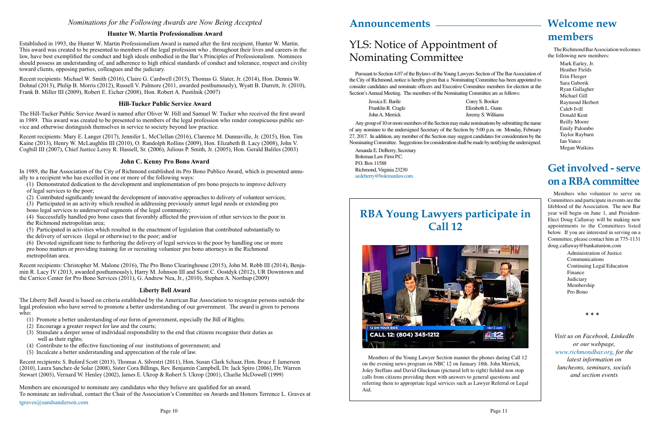The Richmond Bar Association welcomes the following new members:

> Mark Earley, Jr. Heather Fields Erin Fleeger Sara Gaborik Ryan Gallagher Michael Gill Raymond Herbert Caleb Ivill Donald Kent Reilly Moore Emily Palombo Taylor Rayburn Ian Vance Megan Watkins

# **Welcome new members**

# **Get involved - serve on a RBA committee**

Members who volunteer to serve on Committees and participate in events are the lifeblood of the Association. The new Bar year will begin on June 1, and President-Elect Doug Callaway will be making new appointments to the Committees listed below. If you are interested in serving on a Committee, please contact him at 775-1131 doug.callaway@bankatunion.com

> Administration of Justice Communications Continuing Legal Education Finance Judiciary Membership Pro Bono

Pursuant to Section 4.07 of the Bylaws of the Young Lawyers Section of The Bar Association of the City of Richmond, notice is hereby given that a Nominating Committee has been appointed to consider candidates and nominate officers and Executive Committee members for election at the Section's Annual Meeting. The members of the Nominating Committee are as follows:

| Jessica E. Barile  | Corey S. Booker    |
|--------------------|--------------------|
| Franklin R. Cragle | Elizabeth L. Gunn  |
| John A. Merrick    | Jeremy S. Williams |

Any group of 10 or more members of the Section may make nominations by submitting the name of any nominee to the undersigned Secretary of the Section by 5:00 p.m. on Monday, February 27, 2017. In addition, any member of the Section may suggest candidates for consideration by the Nominating Committee. Suggestions for consideration shall be made by notifying the undersigned.

Amanda E. DeBerry, Secretary Boleman Law Firm P.C. P.O. Box 11588 Richmond, Virginia 23230 [aedeberry@bolemanlaw.com](mailto:aedeberry%40bolemanlaw.com?subject=)

# YLS: Notice of Appointment of Nominating Committee

*Visit us on Facebook, LinkedIn or our webpage, [www.richmondbar.org](http://www.richmondbar.org), for the latest information on luncheons, seminars, socials and section events*

**\* \* \***

Members of the Young Lawyer Section manner the phones during Call 12 on the evening news program on NBC 12 on January 18th. John Merrick, Joley Steffans and David Gluckman (pictured left to right) fielded non stop calls from citizens providing them with answers to general questions and referring them to appropriate legal services such as Lawyer Referral or Legal Aid.

### *Nominations for the Following Awards are Now Being Accepted*

#### **Hunter W. Martin Professionalism Award**

Established in 1993, the Hunter W. Martin Professionalism Award is named after the first recipient, Hunter W. Martin. This award was created to be presented to members of the legal profession who , throughout their lives and careers in the law, have best exemplified the conduct and high ideals embodied in the Bar's Principles of Professionalism. Nominees should possess an understanding of, and adherence to high ethical standards of conduct and tolerance, respect and civility toward clients, opposing parties, colleagues and the judiciary.

Recent recipients: Michael W. Smith (2016), Claire G. Cardwell (2015), Thomas G. Slater, Jr. (2014), Hon. Dennis W. Dohnal (2013), Philip B. Morris (2012), Russell V. Palmore (2011, awarded posthumously), Wyatt B. Durrett, Jr. (2010), Frank B. Miller III (2009), Robert E. Eicher (2008), Hon. Robert A. Pustilnik (2007)

#### **Hill-Tucker Public Service Award**

The Hill-Tucker Public Service Award is named after Oliver W. Hill and Samuel W. Tucker who received the first award in 1989. This award was created to be presented to members of the legal profession who render conspicuous public service and otherwise distinguish themselves in service to society beyond law practice.

Recent recipients: Mary E. Langer (2017), Jennifer L. McClellan (2016), Clarence M. Dunnaville, Jr. (2015), Hon. Tim Kaine (2013), Henry W. McLaughlin III (2010), O. Randolph Rollins (2009), Hon. Elizabeth B. Lacy (2008), John V. Cogbill III (2007), Chief Justice Leroy R. Hassell, Sr. (2006), Julious P. Smith, Jr. (2005), Hon. Gerald Baliles (2003)

#### **John C. Kenny Pro Bono Award**

In 1989, the Bar Association of the City of Richmond established its Pro Bono Publico Award, which is presented annually to a recipient who has excelled in one or more of the following ways:

(1) Demonstrated dedication to the development and implementation of pro bono projects to improve delivery of legal services to the poor;

(2) Contributed significantly toward the development of innovative approaches to delivery of volunteer services;

(3) Participated in an activity which resulted in addressing previously unmet legal needs or extending pro bono legal services to underserved segments of the legal community;

(4) Successfully handled pro bono cases that favorably affected the provision of other services to the poor in the Richmond metropolitan area;

(5) Participated in activities which resulted in the enactment of legislation that contributed substantially to the delivery of services (legal or otherwise) to the poor; and/or

(6) Devoted significant time to furthering the delivery of legal services to the poor by handling one or more pro bono matters or providing training for or recruiting volunteer pro bono attorneys in the Richmond metropolitan area.

Recent recipients: Christopher M. Malone (2016), The Pro Bono Clearinghouse (2015), John M. Robb III (2014), Benjamin R. Lacy IV (2013, awarded posthumously), Harry M. Johnson III and Scott C. Oostdyk (2012), UR Downtown and the Carrico Center for Pro Bono Services (2011), G. Andrew Nea, Jr., (2010), Stephen A. Northup (2009)

#### **Liberty Bell Award**

The Liberty Bell Award is based on criteria established by the American Bar Association to recognize persons outside the legal profession who have served to promote a better understanding of our government. The award is given to persons who:

- (1) Promote a better understanding of our form of government, especially the Bill of Rights;
- (2) Encourage a greater respect for law and the courts;
- (3) Stimulate a deeper sense of individual responsibility to the end that citizens recognize their duties as well as their rights;
- (4) Contribute to the effective functioning of our institutions of government; and
- (5) Inculcate a better understanding and appreciation of the rule of law.

Recent recipients: S. Buford Scott (2013), Thomas A. Silvestri (2011), Hon. Susan Clark Schaar, Hon. Bruce F. Jamerson (2010), Laura Sanchez-de Solar (2008), Sister Cora Billings, Rev. Benjamin Campbell, Dr. Jack Spiro (2006), Dr. Warren Stewart (2005), Vernard W. Henley (2002), James E. Ukrop & Robert S. Ukrop (2001), Charlie McDowell (1999)

Members are encouraged to nominate any candidates who they believe are qualified for an award.

To nominate an individual, contact the Chair of the Association's Committee on Awards and Honors Terrence L. Graves at

[tgraves@sandsanderson.com](mailto:tgraves%40sandsanderson.com?subject=)

# **RBA Young Lawyers participate in Call 12**